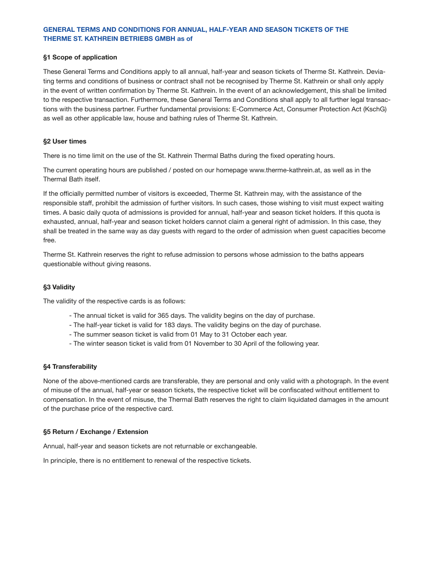# **GENERAL TERMS AND CONDITIONS FOR ANNUAL, HALF-YEAR AND SEASON TICKETS OF THE THERME ST. KATHREIN BETRIEBS GMBH as of**

### **§1 Scope of application**

These General Terms and Conditions apply to all annual, half-year and season tickets of Therme St. Kathrein. Deviating terms and conditions of business or contract shall not be recognised by Therme St. Kathrein or shall only apply in the event of written confirmation by Therme St. Kathrein. In the event of an acknowledgement, this shall be limited to the respective transaction. Furthermore, these General Terms and Conditions shall apply to all further legal transactions with the business partner. Further fundamental provisions: E-Commerce Act, Consumer Protection Act (KschG) as well as other applicable law, house and bathing rules of Therme St. Kathrein.

### **§2 User times**

There is no time limit on the use of the St. Kathrein Thermal Baths during the fixed operating hours.

The current operating hours are published / posted on our homepage www.therme-kathrein.at, as well as in the Thermal Bath itself.

If the officially permitted number of visitors is exceeded, Therme St. Kathrein may, with the assistance of the responsible staff, prohibit the admission of further visitors. In such cases, those wishing to visit must expect waiting times. A basic daily quota of admissions is provided for annual, half-year and season ticket holders. If this quota is exhausted, annual, half-year and season ticket holders cannot claim a general right of admission. In this case, they shall be treated in the same way as day guests with regard to the order of admission when guest capacities become free.

Therme St. Kathrein reserves the right to refuse admission to persons whose admission to the baths appears questionable without giving reasons.

## **§3 Validity**

The validity of the respective cards is as follows:

- The annual ticket is valid for 365 days. The validity begins on the day of purchase.
- The half-year ticket is valid for 183 days. The validity begins on the day of purchase.
- The summer season ticket is valid from 01 May to 31 October each year.
- The winter season ticket is valid from 01 November to 30 April of the following year.

## **§4 Transferability**

None of the above-mentioned cards are transferable, they are personal and only valid with a photograph. In the event of misuse of the annual, half-year or season tickets, the respective ticket will be confiscated without entitlement to compensation. In the event of misuse, the Thermal Bath reserves the right to claim liquidated damages in the amount of the purchase price of the respective card.

#### **§5 Return / Exchange / Extension**

Annual, half-year and season tickets are not returnable or exchangeable.

In principle, there is no entitlement to renewal of the respective tickets.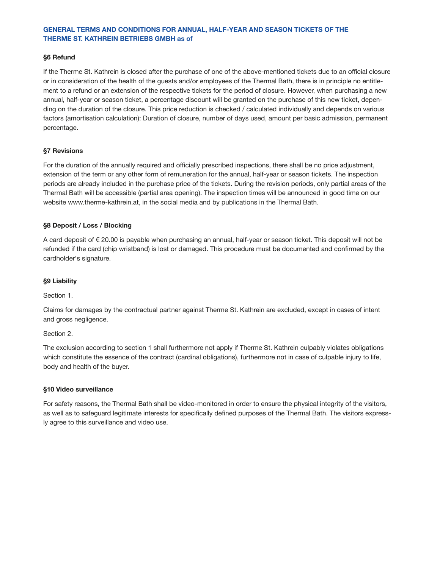# **GENERAL TERMS AND CONDITIONS FOR ANNUAL, HALF-YEAR AND SEASON TICKETS OF THE THERME ST. KATHREIN BETRIEBS GMBH as of**

### **§6 Refund**

If the Therme St. Kathrein is closed after the purchase of one of the above-mentioned tickets due to an official closure or in consideration of the health of the guests and/or employees of the Thermal Bath, there is in principle no entitlement to a refund or an extension of the respective tickets for the period of closure. However, when purchasing a new annual, half-year or season ticket, a percentage discount will be granted on the purchase of this new ticket, depending on the duration of the closure. This price reduction is checked / calculated individually and depends on various factors (amortisation calculation): Duration of closure, number of days used, amount per basic admission, permanent percentage.

### **§7 Revisions**

For the duration of the annually required and officially prescribed inspections, there shall be no price adjustment, extension of the term or any other form of remuneration for the annual, half-year or season tickets. The inspection periods are already included in the purchase price of the tickets. During the revision periods, only partial areas of the Thermal Bath will be accessible (partial area opening). The inspection times will be announced in good time on our website www.therme-kathrein.at, in the social media and by publications in the Thermal Bath.

### **§8 Deposit / Loss / Blocking**

A card deposit of € 20.00 is payable when purchasing an annual, half-year or season ticket. This deposit will not be refunded if the card (chip wristband) is lost or damaged. This procedure must be documented and confirmed by the cardholder's signature.

#### **§9 Liability**

Section 1.

Claims for damages by the contractual partner against Therme St. Kathrein are excluded, except in cases of intent and gross negligence.

#### Section 2.

The exclusion according to section 1 shall furthermore not apply if Therme St. Kathrein culpably violates obligations which constitute the essence of the contract (cardinal obligations), furthermore not in case of culpable injury to life, body and health of the buyer.

#### **§10 Video surveillance**

For safety reasons, the Thermal Bath shall be video-monitored in order to ensure the physical integrity of the visitors, as well as to safeguard legitimate interests for specifically defined purposes of the Thermal Bath. The visitors expressly agree to this surveillance and video use.